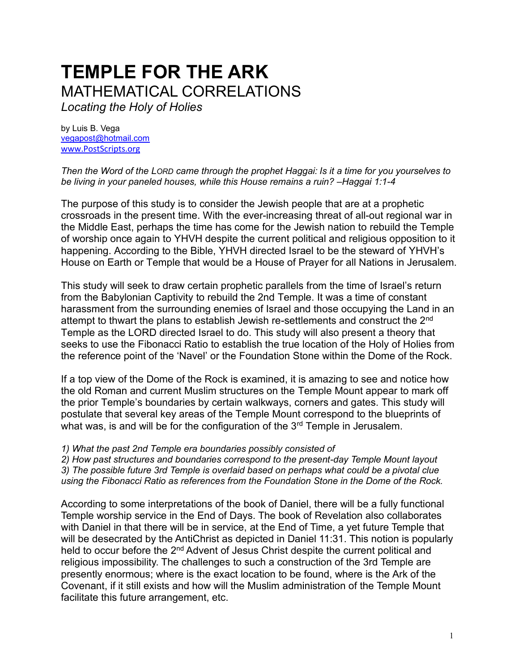# **TEMPLE FOR THE ARK**  MATHEMATICAL CORRELATIONS *Locating the Holy of Holies*

by Luis B. Vega [vegapost@hotmail.com](mailto:vegapost@hotmail.com) [www.PostScripts.org](http://www.postscripts.org/)

*Then the Word of the LORD came through the prophet Haggai: Is it a time for you yourselves to be living in your paneled houses, while this House remains a ruin? –Haggai 1:1-4*

The purpose of this study is to consider the Jewish people that are at a prophetic crossroads in the present time. With the ever-increasing threat of all-out regional war in the Middle East, perhaps the time has come for the Jewish nation to rebuild the Temple of worship once again to YHVH despite the current political and religious opposition to it happening. According to the Bible, YHVH directed Israel to be the steward of YHVH's House on Earth or Temple that would be a House of Prayer for all Nations in Jerusalem.

This study will seek to draw certain prophetic parallels from the time of Israel's return from the Babylonian Captivity to rebuild the 2nd Temple. It was a time of constant harassment from the surrounding enemies of Israel and those occupying the Land in an attempt to thwart the plans to establish Jewish re-settlements and construct the 2<sup>nd</sup> Temple as the LORD directed Israel to do. This study will also present a theory that seeks to use the Fibonacci Ratio to establish the true location of the Holy of Holies from the reference point of the 'Navel' or the Foundation Stone within the Dome of the Rock.

If a top view of the Dome of the Rock is examined, it is amazing to see and notice how the old Roman and current Muslim structures on the Temple Mount appear to mark off the prior Temple's boundaries by certain walkways, corners and gates. This study will postulate that several key areas of the Temple Mount correspond to the blueprints of what was, is and will be for the configuration of the  $3<sup>rd</sup>$  Temple in Jerusalem.

*1) What the past 2nd Temple era boundaries possibly consisted of* 

*2) How past structures and boundaries correspond to the present-day Temple Mount layout 3) The possible future 3rd Temple is overlaid based on perhaps what could be a pivotal clue using the Fibonacci Ratio as references from the Foundation Stone in the Dome of the Rock.*

According to some interpretations of the book of Daniel, there will be a fully functional Temple worship service in the End of Days. The book of Revelation also collaborates with Daniel in that there will be in service, at the End of Time, a yet future Temple that will be desecrated by the AntiChrist as depicted in Daniel 11:31. This notion is popularly held to occur before the 2<sup>nd</sup> Advent of Jesus Christ despite the current political and religious impossibility. The challenges to such a construction of the 3rd Temple are presently enormous; where is the exact location to be found, where is the Ark of the Covenant, if it still exists and how will the Muslim administration of the Temple Mount facilitate this future arrangement, etc.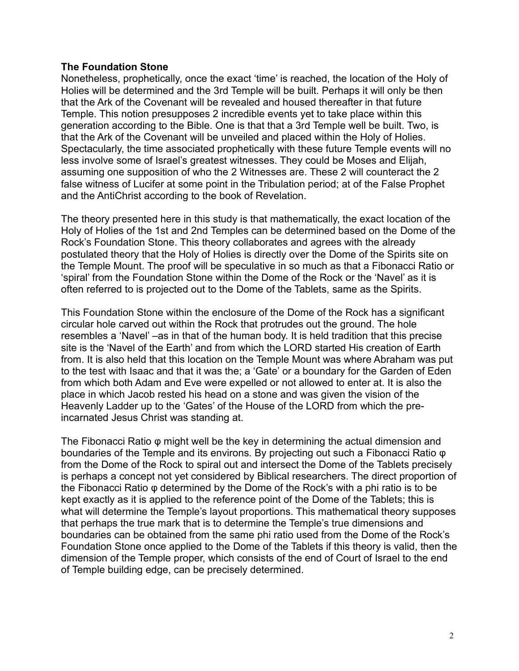#### **The Foundation Stone**

Nonetheless, prophetically, once the exact 'time' is reached, the location of the Holy of Holies will be determined and the 3rd Temple will be built. Perhaps it will only be then that the Ark of the Covenant will be revealed and housed thereafter in that future Temple. This notion presupposes 2 incredible events yet to take place within this generation according to the Bible. One is that that a 3rd Temple well be built. Two, is that the Ark of the Covenant will be unveiled and placed within the Holy of Holies. Spectacularly, the time associated prophetically with these future Temple events will no less involve some of Israel's greatest witnesses. They could be Moses and Elijah, assuming one supposition of who the 2 Witnesses are. These 2 will counteract the 2 false witness of Lucifer at some point in the Tribulation period; at of the False Prophet and the AntiChrist according to the book of Revelation.

The theory presented here in this study is that mathematically, the exact location of the Holy of Holies of the 1st and 2nd Temples can be determined based on the Dome of the Rock's Foundation Stone. This theory collaborates and agrees with the already postulated theory that the Holy of Holies is directly over the Dome of the Spirits site on the Temple Mount. The proof will be speculative in so much as that a Fibonacci Ratio or 'spiral' from the Foundation Stone within the Dome of the Rock or the 'Navel' as it is often referred to is projected out to the Dome of the Tablets, same as the Spirits.

This Foundation Stone within the enclosure of the Dome of the Rock has a significant circular hole carved out within the Rock that protrudes out the ground. The hole resembles a 'Navel' –as in that of the human body. It is held tradition that this precise site is the 'Navel of the Earth' and from which the LORD started His creation of Earth from. It is also held that this location on the Temple Mount was where Abraham was put to the test with Isaac and that it was the; a 'Gate' or a boundary for the Garden of Eden from which both Adam and Eve were expelled or not allowed to enter at. It is also the place in which Jacob rested his head on a stone and was given the vision of the Heavenly Ladder up to the 'Gates' of the House of the LORD from which the preincarnated Jesus Christ was standing at.

The Fibonacci Ratio φ might well be the key in determining the actual dimension and boundaries of the Temple and its environs. By projecting out such a Fibonacci Ratio φ from the Dome of the Rock to spiral out and intersect the Dome of the Tablets precisely is perhaps a concept not yet considered by Biblical researchers. The direct proportion of the Fibonacci Ratio φ determined by the Dome of the Rock's with a phi ratio is to be kept exactly as it is applied to the reference point of the Dome of the Tablets; this is what will determine the Temple's layout proportions. This mathematical theory supposes that perhaps the true mark that is to determine the Temple's true dimensions and boundaries can be obtained from the same phi ratio used from the Dome of the Rock's Foundation Stone once applied to the Dome of the Tablets if this theory is valid, then the dimension of the Temple proper, which consists of the end of Court of Israel to the end of Temple building edge, can be precisely determined.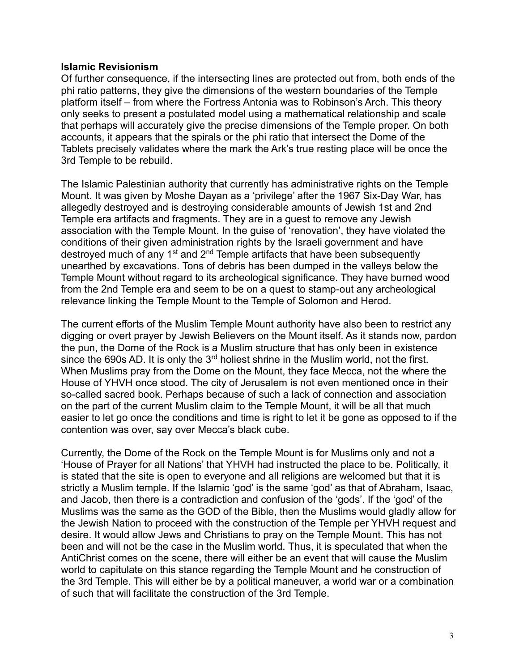## **Islamic Revisionism**

Of further consequence, if the intersecting lines are protected out from, both ends of the phi ratio patterns, they give the dimensions of the western boundaries of the Temple platform itself – from where the Fortress Antonia was to Robinson's Arch. This theory only seeks to present a postulated model using a mathematical relationship and scale that perhaps will accurately give the precise dimensions of the Temple proper. On both accounts, it appears that the spirals or the phi ratio that intersect the Dome of the Tablets precisely validates where the mark the Ark's true resting place will be once the 3rd Temple to be rebuild.

The Islamic Palestinian authority that currently has administrative rights on the Temple Mount. It was given by Moshe Dayan as a 'privilege' after the 1967 Six-Day War, has allegedly destroyed and is destroying considerable amounts of Jewish 1st and 2nd Temple era artifacts and fragments. They are in a guest to remove any Jewish association with the Temple Mount. In the guise of 'renovation', they have violated the conditions of their given administration rights by the Israeli government and have destroyed much of any  $1<sup>st</sup>$  and  $2<sup>nd</sup>$  Temple artifacts that have been subsequently unearthed by excavations. Tons of debris has been dumped in the valleys below the Temple Mount without regard to its archeological significance. They have burned wood from the 2nd Temple era and seem to be on a quest to stamp-out any archeological relevance linking the Temple Mount to the Temple of Solomon and Herod.

The current efforts of the Muslim Temple Mount authority have also been to restrict any digging or overt prayer by Jewish Believers on the Mount itself. As it stands now, pardon the pun, the Dome of the Rock is a Muslim structure that has only been in existence since the 690s AD. It is only the  $3<sup>rd</sup>$  holiest shrine in the Muslim world, not the first. When Muslims pray from the Dome on the Mount, they face Mecca, not the where the House of YHVH once stood. The city of Jerusalem is not even mentioned once in their so-called sacred book. Perhaps because of such a lack of connection and association on the part of the current Muslim claim to the Temple Mount, it will be all that much easier to let go once the conditions and time is right to let it be gone as opposed to if the contention was over, say over Mecca's black cube.

Currently, the Dome of the Rock on the Temple Mount is for Muslims only and not a 'House of Prayer for all Nations' that YHVH had instructed the place to be. Politically, it is stated that the site is open to everyone and all religions are welcomed but that it is strictly a Muslim temple. If the Islamic 'god' is the same 'god' as that of Abraham, Isaac, and Jacob, then there is a contradiction and confusion of the 'gods'. If the 'god' of the Muslims was the same as the GOD of the Bible, then the Muslims would gladly allow for the Jewish Nation to proceed with the construction of the Temple per YHVH request and desire. It would allow Jews and Christians to pray on the Temple Mount. This has not been and will not be the case in the Muslim world. Thus, it is speculated that when the AntiChrist comes on the scene, there will either be an event that will cause the Muslim world to capitulate on this stance regarding the Temple Mount and he construction of the 3rd Temple. This will either be by a political maneuver, a world war or a combination of such that will facilitate the construction of the 3rd Temple.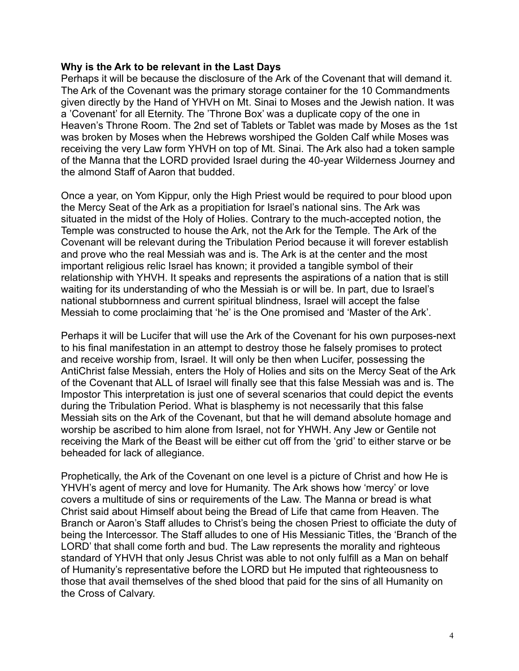## **Why is the Ark to be relevant in the Last Days**

Perhaps it will be because the disclosure of the Ark of the Covenant that will demand it. The Ark of the Covenant was the primary storage container for the 10 Commandments given directly by the Hand of YHVH on Mt. Sinai to Moses and the Jewish nation. It was a 'Covenant' for all Eternity. The 'Throne Box' was a duplicate copy of the one in Heaven's Throne Room. The 2nd set of Tablets or Tablet was made by Moses as the 1st was broken by Moses when the Hebrews worshiped the Golden Calf while Moses was receiving the very Law form YHVH on top of Mt. Sinai. The Ark also had a token sample of the Manna that the LORD provided Israel during the 40-year Wilderness Journey and the almond Staff of Aaron that budded.

Once a year, on Yom Kippur, only the High Priest would be required to pour blood upon the Mercy Seat of the Ark as a propitiation for Israel's national sins. The Ark was situated in the midst of the Holy of Holies. Contrary to the much-accepted notion, the Temple was constructed to house the Ark, not the Ark for the Temple. The Ark of the Covenant will be relevant during the Tribulation Period because it will forever establish and prove who the real Messiah was and is. The Ark is at the center and the most important religious relic Israel has known; it provided a tangible symbol of their relationship with YHVH. It speaks and represents the aspirations of a nation that is still waiting for its understanding of who the Messiah is or will be. In part, due to Israel's national stubbornness and current spiritual blindness, Israel will accept the false Messiah to come proclaiming that 'he' is the One promised and 'Master of the Ark'.

Perhaps it will be Lucifer that will use the Ark of the Covenant for his own purposes-next to his final manifestation in an attempt to destroy those he falsely promises to protect and receive worship from, Israel. It will only be then when Lucifer, possessing the AntiChrist false Messiah, enters the Holy of Holies and sits on the Mercy Seat of the Ark of the Covenant that ALL of Israel will finally see that this false Messiah was and is. The Impostor This interpretation is just one of several scenarios that could depict the events during the Tribulation Period. What is blasphemy is not necessarily that this false Messiah sits on the Ark of the Covenant, but that he will demand absolute homage and worship be ascribed to him alone from Israel, not for YHWH. Any Jew or Gentile not receiving the Mark of the Beast will be either cut off from the 'grid' to either starve or be beheaded for lack of allegiance.

Prophetically, the Ark of the Covenant on one level is a picture of Christ and how He is YHVH's agent of mercy and love for Humanity. The Ark shows how 'mercy' or love covers a multitude of sins or requirements of the Law. The Manna or bread is what Christ said about Himself about being the Bread of Life that came from Heaven. The Branch or Aaron's Staff alludes to Christ's being the chosen Priest to officiate the duty of being the Intercessor. The Staff alludes to one of His Messianic Titles, the 'Branch of the LORD' that shall come forth and bud. The Law represents the morality and righteous standard of YHVH that only Jesus Christ was able to not only fulfill as a Man on behalf of Humanity's representative before the LORD but He imputed that righteousness to those that avail themselves of the shed blood that paid for the sins of all Humanity on the Cross of Calvary.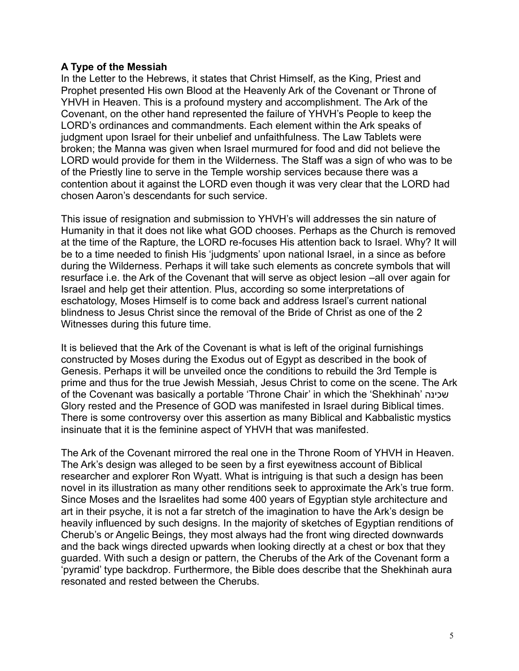# **A Type of the Messiah**

In the Letter to the Hebrews, it states that Christ Himself, as the King, Priest and Prophet presented His own Blood at the Heavenly Ark of the Covenant or Throne of YHVH in Heaven. This is a profound mystery and accomplishment. The Ark of the Covenant, on the other hand represented the failure of YHVH's People to keep the LORD's ordinances and commandments. Each element within the Ark speaks of judgment upon Israel for their unbelief and unfaithfulness. The Law Tablets were broken; the Manna was given when Israel murmured for food and did not believe the LORD would provide for them in the Wilderness. The Staff was a sign of who was to be of the Priestly line to serve in the Temple worship services because there was a contention about it against the LORD even though it was very clear that the LORD had chosen Aaron's descendants for such service.

This issue of resignation and submission to YHVH's will addresses the sin nature of Humanity in that it does not like what GOD chooses. Perhaps as the Church is removed at the time of the Rapture, the LORD re-focuses His attention back to Israel. Why? It will be to a time needed to finish His 'judgments' upon national Israel, in a since as before during the Wilderness. Perhaps it will take such elements as concrete symbols that will resurface i.e. the Ark of the Covenant that will serve as object lesion –all over again for Israel and help get their attention. Plus, according so some interpretations of eschatology, Moses Himself is to come back and address Israel's current national blindness to Jesus Christ since the removal of the Bride of Christ as one of the 2 Witnesses during this future time.

It is believed that the Ark of the Covenant is what is left of the original furnishings constructed by Moses during the Exodus out of Egypt as described in the book of Genesis. Perhaps it will be unveiled once the conditions to rebuild the 3rd Temple is prime and thus for the true Jewish Messiah, Jesus Christ to come on the scene. The Ark of the Covenant was basically a portable 'Throne Chair' in which the 'Shekhinah' שכינה Glory rested and the Presence of GOD was manifested in Israel during Biblical times. There is some controversy over this assertion as many Biblical and Kabbalistic mystics insinuate that it is the feminine aspect of YHVH that was manifested.

The Ark of the Covenant mirrored the real one in the Throne Room of YHVH in Heaven. The Ark's design was alleged to be seen by a first eyewitness account of Biblical researcher and explorer Ron Wyatt. What is intriguing is that such a design has been novel in its illustration as many other renditions seek to approximate the Ark's true form. Since Moses and the Israelites had some 400 years of Egyptian style architecture and art in their psyche, it is not a far stretch of the imagination to have the Ark's design be heavily influenced by such designs. In the majority of sketches of Egyptian renditions of Cherub's or Angelic Beings, they most always had the front wing directed downwards and the back wings directed upwards when looking directly at a chest or box that they guarded. With such a design or pattern, the Cherubs of the Ark of the Covenant form a 'pyramid' type backdrop. Furthermore, the Bible does describe that the Shekhinah aura resonated and rested between the Cherubs.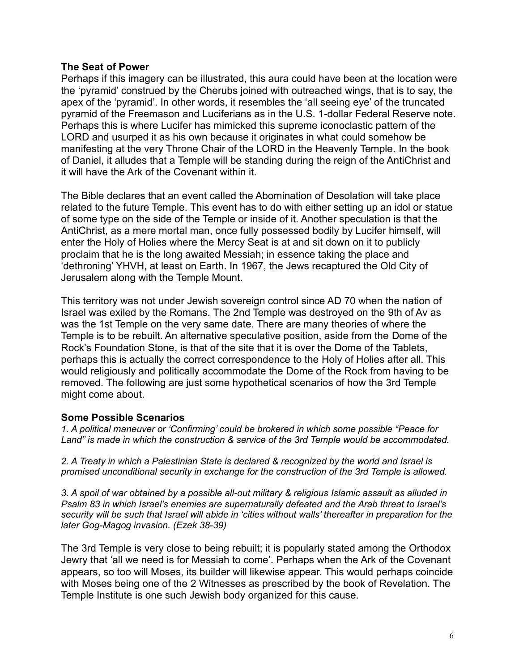## **The Seat of Power**

Perhaps if this imagery can be illustrated, this aura could have been at the location were the 'pyramid' construed by the Cherubs joined with outreached wings, that is to say, the apex of the 'pyramid'. In other words, it resembles the 'all seeing eye' of the truncated pyramid of the Freemason and Luciferians as in the U.S. 1-dollar Federal Reserve note. Perhaps this is where Lucifer has mimicked this supreme iconoclastic pattern of the LORD and usurped it as his own because it originates in what could somehow be manifesting at the very Throne Chair of the LORD in the Heavenly Temple. In the book of Daniel, it alludes that a Temple will be standing during the reign of the AntiChrist and it will have the Ark of the Covenant within it.

The Bible declares that an event called the Abomination of Desolation will take place related to the future Temple. This event has to do with either setting up an idol or statue of some type on the side of the Temple or inside of it. Another speculation is that the AntiChrist, as a mere mortal man, once fully possessed bodily by Lucifer himself, will enter the Holy of Holies where the Mercy Seat is at and sit down on it to publicly proclaim that he is the long awaited Messiah; in essence taking the place and 'dethroning' YHVH, at least on Earth. In 1967, the Jews recaptured the Old City of Jerusalem along with the Temple Mount.

This territory was not under Jewish sovereign control since AD 70 when the nation of Israel was exiled by the Romans. The 2nd Temple was destroyed on the 9th of Av as was the 1st Temple on the very same date. There are many theories of where the Temple is to be rebuilt. An alternative speculative position, aside from the Dome of the Rock's Foundation Stone, is that of the site that it is over the Dome of the Tablets, perhaps this is actually the correct correspondence to the Holy of Holies after all. This would religiously and politically accommodate the Dome of the Rock from having to be removed. The following are just some hypothetical scenarios of how the 3rd Temple might come about.

# **Some Possible Scenarios**

*1. A political maneuver or 'Confirming' could be brokered in which some possible "Peace for Land" is made in which the construction & service of the 3rd Temple would be accommodated.*

*2. A Treaty in which a Palestinian State is declared & recognized by the world and Israel is promised unconditional security in exchange for the construction of the 3rd Temple is allowed.*

*3. A spoil of war obtained by a possible all-out military & religious Islamic assault as alluded in Psalm 83 in which Israel's enemies are supernaturally defeated and the Arab threat to Israel's security will be such that Israel will abide in 'cities without walls' thereafter in preparation for the later Gog-Magog invasion. (Ezek 38-39)*

The 3rd Temple is very close to being rebuilt; it is popularly stated among the Orthodox Jewry that 'all we need is for Messiah to come'. Perhaps when the Ark of the Covenant appears, so too will Moses, its builder will likewise appear. This would perhaps coincide with Moses being one of the 2 Witnesses as prescribed by the book of Revelation. The Temple Institute is one such Jewish body organized for this cause.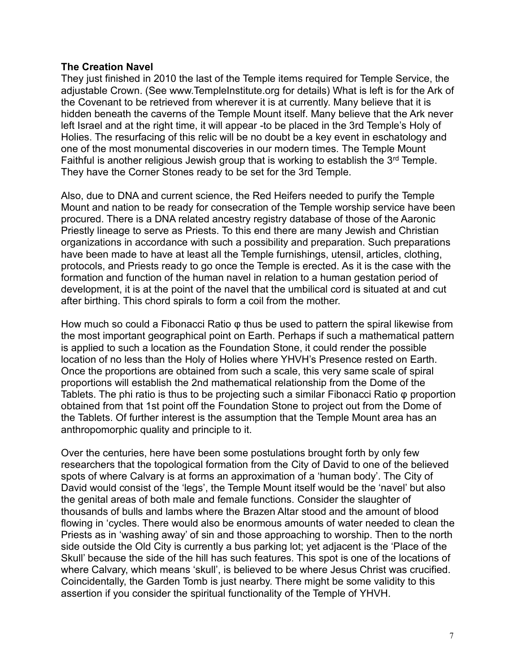## **The Creation Navel**

They just finished in 2010 the last of the Temple items required for Temple Service, the adjustable Crown. (See www.TempleInstitute.org for details) What is left is for the Ark of the Covenant to be retrieved from wherever it is at currently. Many believe that it is hidden beneath the caverns of the Temple Mount itself. Many believe that the Ark never left Israel and at the right time, it will appear -to be placed in the 3rd Temple's Holy of Holies. The resurfacing of this relic will be no doubt be a key event in eschatology and one of the most monumental discoveries in our modern times. The Temple Mount Faithful is another religious Jewish group that is working to establish the  $3<sup>rd</sup>$  Temple. They have the Corner Stones ready to be set for the 3rd Temple.

Also, due to DNA and current science, the Red Heifers needed to purify the Temple Mount and nation to be ready for consecration of the Temple worship service have been procured. There is a DNA related ancestry registry database of those of the Aaronic Priestly lineage to serve as Priests. To this end there are many Jewish and Christian organizations in accordance with such a possibility and preparation. Such preparations have been made to have at least all the Temple furnishings, utensil, articles, clothing, protocols, and Priests ready to go once the Temple is erected. As it is the case with the formation and function of the human navel in relation to a human gestation period of development, it is at the point of the navel that the umbilical cord is situated at and cut after birthing. This chord spirals to form a coil from the mother.

How much so could a Fibonacci Ratio φ thus be used to pattern the spiral likewise from the most important geographical point on Earth. Perhaps if such a mathematical pattern is applied to such a location as the Foundation Stone, it could render the possible location of no less than the Holy of Holies where YHVH's Presence rested on Earth. Once the proportions are obtained from such a scale, this very same scale of spiral proportions will establish the 2nd mathematical relationship from the Dome of the Tablets. The phi ratio is thus to be projecting such a similar Fibonacci Ratio φ proportion obtained from that 1st point off the Foundation Stone to project out from the Dome of the Tablets. Of further interest is the assumption that the Temple Mount area has an anthropomorphic quality and principle to it.

Over the centuries, here have been some postulations brought forth by only few researchers that the topological formation from the City of David to one of the believed spots of where Calvary is at forms an approximation of a 'human body'. The City of David would consist of the 'legs', the Temple Mount itself would be the 'navel' but also the genital areas of both male and female functions. Consider the slaughter of thousands of bulls and lambs where the Brazen Altar stood and the amount of blood flowing in 'cycles. There would also be enormous amounts of water needed to clean the Priests as in 'washing away' of sin and those approaching to worship. Then to the north side outside the Old City is currently a bus parking lot; yet adjacent is the 'Place of the Skull' because the side of the hill has such features. This spot is one of the locations of where Calvary, which means 'skull', is believed to be where Jesus Christ was crucified. Coincidentally, the Garden Tomb is just nearby. There might be some validity to this assertion if you consider the spiritual functionality of the Temple of YHVH.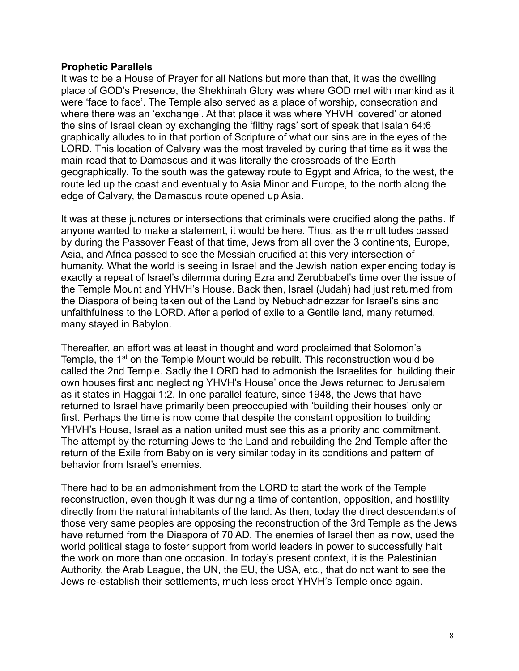#### **Prophetic Parallels**

It was to be a House of Prayer for all Nations but more than that, it was the dwelling place of GOD's Presence, the Shekhinah Glory was where GOD met with mankind as it were 'face to face'. The Temple also served as a place of worship, consecration and where there was an 'exchange'. At that place it was where YHVH 'covered' or atoned the sins of Israel clean by exchanging the 'filthy rags' sort of speak that Isaiah 64:6 graphically alludes to in that portion of Scripture of what our sins are in the eyes of the LORD. This location of Calvary was the most traveled by during that time as it was the main road that to Damascus and it was literally the crossroads of the Earth geographically. To the south was the gateway route to Egypt and Africa, to the west, the route led up the coast and eventually to Asia Minor and Europe, to the north along the edge of Calvary, the Damascus route opened up Asia.

It was at these junctures or intersections that criminals were crucified along the paths. If anyone wanted to make a statement, it would be here. Thus, as the multitudes passed by during the Passover Feast of that time, Jews from all over the 3 continents, Europe, Asia, and Africa passed to see the Messiah crucified at this very intersection of humanity. What the world is seeing in Israel and the Jewish nation experiencing today is exactly a repeat of Israel's dilemma during Ezra and Zerubbabel's time over the issue of the Temple Mount and YHVH's House. Back then, Israel (Judah) had just returned from the Diaspora of being taken out of the Land by Nebuchadnezzar for Israel's sins and unfaithfulness to the LORD. After a period of exile to a Gentile land, many returned, many stayed in Babylon.

Thereafter, an effort was at least in thought and word proclaimed that Solomon's Temple, the 1<sup>st</sup> on the Temple Mount would be rebuilt. This reconstruction would be called the 2nd Temple. Sadly the LORD had to admonish the Israelites for 'building their own houses first and neglecting YHVH's House' once the Jews returned to Jerusalem as it states in Haggai 1:2. In one parallel feature, since 1948, the Jews that have returned to Israel have primarily been preoccupied with 'building their houses' only or first. Perhaps the time is now come that despite the constant opposition to building YHVH's House, Israel as a nation united must see this as a priority and commitment. The attempt by the returning Jews to the Land and rebuilding the 2nd Temple after the return of the Exile from Babylon is very similar today in its conditions and pattern of behavior from Israel's enemies.

There had to be an admonishment from the LORD to start the work of the Temple reconstruction, even though it was during a time of contention, opposition, and hostility directly from the natural inhabitants of the land. As then, today the direct descendants of those very same peoples are opposing the reconstruction of the 3rd Temple as the Jews have returned from the Diaspora of 70 AD. The enemies of Israel then as now, used the world political stage to foster support from world leaders in power to successfully halt the work on more than one occasion. In today's present context, it is the Palestinian Authority, the Arab League, the UN, the EU, the USA, etc., that do not want to see the Jews re-establish their settlements, much less erect YHVH's Temple once again.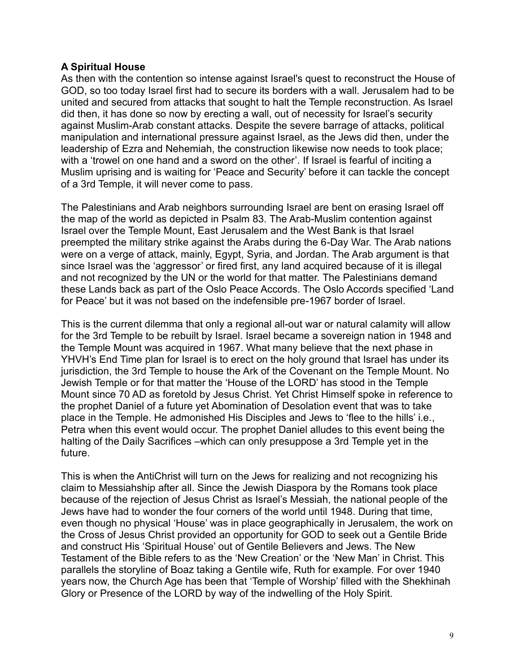# **A Spiritual House**

As then with the contention so intense against Israel's quest to reconstruct the House of GOD, so too today Israel first had to secure its borders with a wall. Jerusalem had to be united and secured from attacks that sought to halt the Temple reconstruction. As Israel did then, it has done so now by erecting a wall, out of necessity for Israel's security against Muslim-Arab constant attacks. Despite the severe barrage of attacks, political manipulation and international pressure against Israel, as the Jews did then, under the leadership of Ezra and Nehemiah, the construction likewise now needs to took place; with a 'trowel on one hand and a sword on the other'. If Israel is fearful of inciting a Muslim uprising and is waiting for 'Peace and Security' before it can tackle the concept of a 3rd Temple, it will never come to pass.

The Palestinians and Arab neighbors surrounding Israel are bent on erasing Israel off the map of the world as depicted in Psalm 83. The Arab-Muslim contention against Israel over the Temple Mount, East Jerusalem and the West Bank is that Israel preempted the military strike against the Arabs during the 6-Day War. The Arab nations were on a verge of attack, mainly, Egypt, Syria, and Jordan. The Arab argument is that since Israel was the 'aggressor' or fired first, any land acquired because of it is illegal and not recognized by the UN or the world for that matter. The Palestinians demand these Lands back as part of the Oslo Peace Accords. The Oslo Accords specified 'Land for Peace' but it was not based on the indefensible pre-1967 border of Israel.

This is the current dilemma that only a regional all-out war or natural calamity will allow for the 3rd Temple to be rebuilt by Israel. Israel became a sovereign nation in 1948 and the Temple Mount was acquired in 1967. What many believe that the next phase in YHVH's End Time plan for Israel is to erect on the holy ground that Israel has under its jurisdiction, the 3rd Temple to house the Ark of the Covenant on the Temple Mount. No Jewish Temple or for that matter the 'House of the LORD' has stood in the Temple Mount since 70 AD as foretold by Jesus Christ. Yet Christ Himself spoke in reference to the prophet Daniel of a future yet Abomination of Desolation event that was to take place in the Temple. He admonished His Disciples and Jews to 'flee to the hills' i.e., Petra when this event would occur. The prophet Daniel alludes to this event being the halting of the Daily Sacrifices –which can only presuppose a 3rd Temple yet in the future.

This is when the AntiChrist will turn on the Jews for realizing and not recognizing his claim to Messiahship after all. Since the Jewish Diaspora by the Romans took place because of the rejection of Jesus Christ as Israel's Messiah, the national people of the Jews have had to wonder the four corners of the world until 1948. During that time, even though no physical 'House' was in place geographically in Jerusalem, the work on the Cross of Jesus Christ provided an opportunity for GOD to seek out a Gentile Bride and construct His 'Spiritual House' out of Gentile Believers and Jews. The New Testament of the Bible refers to as the 'New Creation' or the 'New Man' in Christ. This parallels the storyline of Boaz taking a Gentile wife, Ruth for example. For over 1940 years now, the Church Age has been that 'Temple of Worship' filled with the Shekhinah Glory or Presence of the LORD by way of the indwelling of the Holy Spirit.